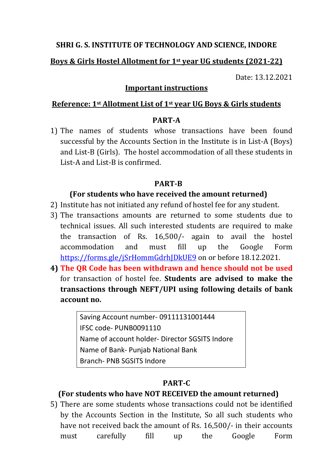## SHRI G. S. INSTITUTE OF TECHNOLOGY AND SCIENCE, INDORE

## Boys & Girls Hostel Allotment for 1st year UG students (2021-22)

Date: 13.12.2021

#### Important instructions

#### Reference: 1st Allotment List of 1st year UG Boys & Girls students

### PART-A

1) The names of students whose transactions have been found successful by the Accounts Section in the Institute is in List-A (Boys) and List-B (Girls). The hostel accommodation of all these students in List-A and List-B is confirmed.

## PART-B

## (For students who have received the amount returned)

- 2) Institute has not initiated any refund of hostel fee for any student.
- 3) The transactions amounts are returned to some students due to technical issues. All such interested students are required to make the transaction of Rs. 16,500/- again to avail the hostel accommodation and must fill up the Google Form https://forms.gle/jSrHommGdrhJDkUE9 on or before 18.12.2021.
- 4) The QR Code has been withdrawn and hence should not be used for transaction of hostel fee. Students are advised to make the transactions through NEFT/UPI using following details of bank account no.

Saving Account number- 09111131001444 IFSC code- PUNB0091110 Name of account holder- Director SGSITS Indore Name of Bank- Punjab National Bank Branch- PNB SGSITS Indore

# PART-C

# (For students who have NOT RECEIVED the amount returned)

5) There are some students whose transactions could not be identified by the Accounts Section in the Institute, So all such students who have not received back the amount of Rs. 16,500/- in their accounts must carefully fill up the Google Form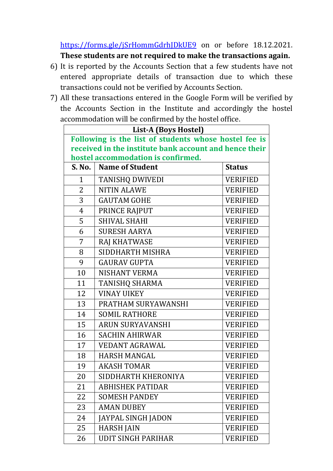https://forms.gle/jSrHommGdrhJDkUE9 on or before 18.12.2021. These students are not required to make the transactions again.

- 6) It is reported by the Accounts Section that a few students have not entered appropriate details of transaction due to which these transactions could not be verified by Accounts Section.
- 7) All these transactions entered in the Google Form will be verified by the Accounts Section in the Institute and accordingly the hostel accommodation will be confirmed by the hostel office.

| List-A (Boys Hostel)                                   |                           |                 |  |  |
|--------------------------------------------------------|---------------------------|-----------------|--|--|
| Following is the list of students whose hostel fee is  |                           |                 |  |  |
| received in the institute bank account and hence their |                           |                 |  |  |
| hostel accommodation is confirmed.                     |                           |                 |  |  |
| S. No.                                                 | <b>Name of Student</b>    | <b>Status</b>   |  |  |
| $\mathbf{1}$                                           | <b>TANISHQ DWIVEDI</b>    | <b>VERIFIED</b> |  |  |
| 2                                                      | <b>NITIN ALAWE</b>        | <b>VERIFIED</b> |  |  |
| 3                                                      | <b>GAUTAM GOHE</b>        | <b>VERIFIED</b> |  |  |
| 4                                                      | PRINCE RAJPUT             | <b>VERIFIED</b> |  |  |
| 5                                                      | <b>SHIVAL SHAHI</b>       | <b>VERIFIED</b> |  |  |
| 6                                                      | <b>SURESH AARYA</b>       | <b>VERIFIED</b> |  |  |
| 7                                                      | RAJ KHATWASE              | <b>VERIFIED</b> |  |  |
| 8                                                      | SIDDHARTH MISHRA          | <b>VERIFIED</b> |  |  |
| 9                                                      | <b>GAURAV GUPTA</b>       | <b>VERIFIED</b> |  |  |
| 10                                                     | <b>NISHANT VERMA</b>      | <b>VERIFIED</b> |  |  |
| 11                                                     | TANISHQ SHARMA            | <b>VERIFIED</b> |  |  |
| 12                                                     | <b>VINAY UIKEY</b>        | <b>VERIFIED</b> |  |  |
| 13                                                     | PRATHAM SURYAWANSHI       | <b>VERIFIED</b> |  |  |
| 14                                                     | <b>SOMIL RATHORE</b>      | <b>VERIFIED</b> |  |  |
| 15                                                     | <b>ARUN SURYAVANSHI</b>   | <b>VERIFIED</b> |  |  |
| 16                                                     | <b>SACHIN AHIRWAR</b>     | <b>VERIFIED</b> |  |  |
| 17                                                     | <b>VEDANT AGRAWAL</b>     | <b>VERIFIED</b> |  |  |
| 18                                                     | <b>HARSH MANGAL</b>       | <b>VERIFIED</b> |  |  |
| 19                                                     | <b>AKASH TOMAR</b>        | <b>VERIFIED</b> |  |  |
| 20                                                     | SIDDHARTH KHERONIYA       | VERIFIED        |  |  |
| 21                                                     | <b>ABHISHEK PATIDAR</b>   | <b>VERIFIED</b> |  |  |
| 22                                                     | <b>SOMESH PANDEY</b>      | <b>VERIFIED</b> |  |  |
| 23                                                     | <b>AMAN DUBEY</b>         | <b>VERIFIED</b> |  |  |
| 24                                                     | <b>JAYPAL SINGH JADON</b> | <b>VERIFIED</b> |  |  |
| 25                                                     | <b>HARSH JAIN</b>         | <b>VERIFIED</b> |  |  |
| 26                                                     | <b>UDIT SINGH PARIHAR</b> | <b>VERIFIED</b> |  |  |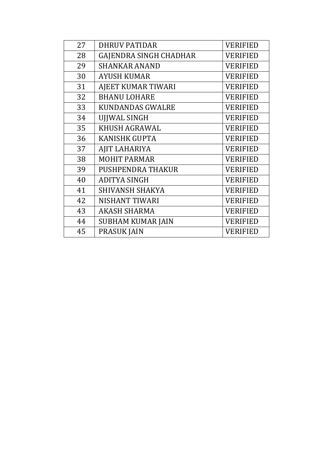| 27 | <b>DHRUV PATIDAR</b>          | <b>VERIFIED</b> |
|----|-------------------------------|-----------------|
| 28 | <b>GAJENDRA SINGH CHADHAR</b> | <b>VERIFIED</b> |
| 29 | <b>SHANKAR ANAND</b>          | <b>VERIFIED</b> |
| 30 | <b>AYUSH KUMAR</b>            | <b>VERIFIED</b> |
| 31 | AJEET KUMAR TIWARI            | <b>VERIFIED</b> |
| 32 | <b>BHANU LOHARE</b>           | <b>VERIFIED</b> |
| 33 | <b>KUNDANDAS GWALRE</b>       | <b>VERIFIED</b> |
| 34 | <b>UJJWAL SINGH</b>           | <b>VERIFIED</b> |
| 35 | KHUSH AGRAWAL                 | <b>VERIFIED</b> |
| 36 | <b>KANISHK GUPTA</b>          | <b>VERIFIED</b> |
| 37 | AJIT LAHARIYA                 | <b>VERIFIED</b> |
| 38 | <b>MOHIT PARMAR</b>           | <b>VERIFIED</b> |
| 39 | PUSHPENDRA THAKUR             | VERIFIED        |
| 40 | <b>ADITYA SINGH</b>           | <b>VERIFIED</b> |
| 41 | <b>SHIVANSH SHAKYA</b>        | <b>VERIFIED</b> |
| 42 | NISHANT TIWARI                | <b>VERIFIED</b> |
| 43 | <b>AKASH SHARMA</b>           | <b>VERIFIED</b> |
| 44 | <b>SUBHAM KUMAR JAIN</b>      | VERIFIED        |
| 45 | <b>PRASUK JAIN</b>            | VERIFIED        |